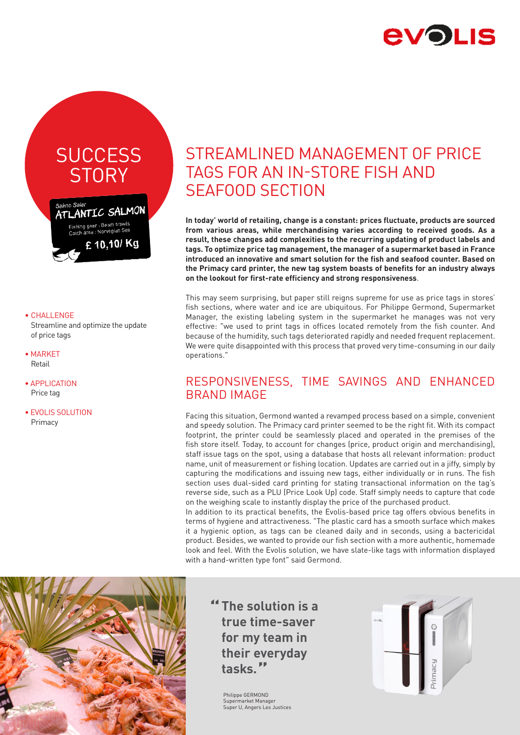

# **SUCCESS STORY**



#### • CHALLENGE

 Streamline and optimize the update of price tags

- MARKET Retail
- APPLICATION Price tag
- EVOLIS SOLUTION Primacy

## STREAMLINED MANAGEMENT OF PRICE TAGS FOR AN IN-STORE FISH AND SEAFOOD SECTION

**In today' world of retailing, change is a constant: prices fluctuate, products are sourced from various areas, while merchandising varies according to received goods. As a result, these changes add complexities to the recurring updating of product labels and tags. To optimize price tag management, the manager of a supermarket based in France introduced an innovative and smart solution for the fish and seafood counter. Based on the Primacy card printer, the new tag system boasts of benefits for an industry always on the lookout for first-rate efficiency and strong responsiveness**.

This may seem surprising, but paper still reigns supreme for use as price tags in stores' fish sections, where water and ice are ubiquitous. For Philippe Germond, Supermarket Manager, the existing labeling system in the supermarket he manages was not very effective: "we used to print tags in offices located remotely from the fish counter. And because of the humidity, such tags deteriorated rapidly and needed frequent replacement. We were quite disappointed with this process that proved very time-consuming in our daily operations."

## RESPONSIVENESS, TIME SAVINGS AND ENHANCED BRAND IMAGE

Facing this situation, Germond wanted a revamped process based on a simple, convenient and speedy solution. The Primacy card printer seemed to be the right fit. With its compact footprint, the printer could be seamlessly placed and operated in the premises of the fish store itself. Today, to account for changes (price, product origin and merchandising), staff issue tags on the spot, using a database that hosts all relevant information: product name, unit of measurement or fishing location. Updates are carried out in a jiffy, simply by capturing the modifications and issuing new tags, either individually or in runs. The fish section uses dual-sided card printing for stating transactional information on the tag's reverse side, such as a PLU (Price Look Up) code. Staff simply needs to capture that code on the weighing scale to instantly display the price of the purchased product.

In addition to its practical benefits, the Evolis-based price tag offers obvious benefits in terms of hygiene and attractiveness. "The plastic card has a smooth surface which makes it a hygienic option, as tags can be cleaned daily and in seconds, using a bactericidal product. Besides, we wanted to provide our fish section with a more authentic, homemade look and feel. With the Evolis solution, we have slate-like tags with information displayed with a hand-written type font" said Germond.



**" The solution is a " tasks. true time-saver for my team in their everyday** 

> Philippe GERMOND Supermarket Manager Super U, Angers Les Justices